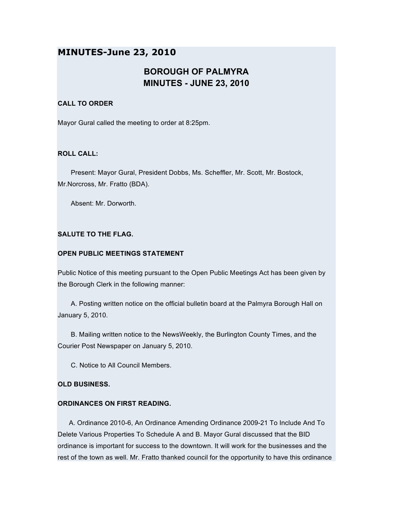# **MINUTES-June 23, 2010**

# **BOROUGH OF PALMYRA MINUTES - JUNE 23, 2010**

# **CALL TO ORDER**

Mayor Gural called the meeting to order at 8:25pm.

# **ROLL CALL:**

Present: Mayor Gural, President Dobbs, Ms. Scheffler, Mr. Scott, Mr. Bostock, Mr.Norcross, Mr. Fratto (BDA).

Absent: Mr. Dorworth.

# **SALUTE TO THE FLAG.**

# **OPEN PUBLIC MEETINGS STATEMENT**

Public Notice of this meeting pursuant to the Open Public Meetings Act has been given by the Borough Clerk in the following manner:

A. Posting written notice on the official bulletin board at the Palmyra Borough Hall on January 5, 2010.

B. Mailing written notice to the NewsWeekly, the Burlington County Times, and the Courier Post Newspaper on January 5, 2010.

C. Notice to All Council Members.

#### **OLD BUSINESS.**

# **ORDINANCES ON FIRST READING.**

A. Ordinance 2010-6, An Ordinance Amending Ordinance 2009-21 To Include And To Delete Various Properties To Schedule A and B. Mayor Gural discussed that the BID ordinance is important for success to the downtown. It will work for the businesses and the rest of the town as well. Mr. Fratto thanked council for the opportunity to have this ordinance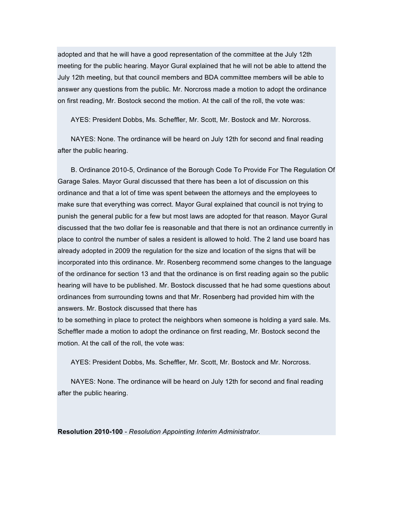adopted and that he will have a good representation of the committee at the July 12th meeting for the public hearing. Mayor Gural explained that he will not be able to attend the July 12th meeting, but that council members and BDA committee members will be able to answer any questions from the public. Mr. Norcross made a motion to adopt the ordinance on first reading, Mr. Bostock second the motion. At the call of the roll, the vote was:

AYES: President Dobbs, Ms. Scheffler, Mr. Scott, Mr. Bostock and Mr. Norcross.

NAYES: None. The ordinance will be heard on July 12th for second and final reading after the public hearing.

B. Ordinance 2010-5, Ordinance of the Borough Code To Provide For The Regulation Of Garage Sales. Mayor Gural discussed that there has been a lot of discussion on this ordinance and that a lot of time was spent between the attorneys and the employees to make sure that everything was correct. Mayor Gural explained that council is not trying to punish the general public for a few but most laws are adopted for that reason. Mayor Gural discussed that the two dollar fee is reasonable and that there is not an ordinance currently in place to control the number of sales a resident is allowed to hold. The 2 land use board has already adopted in 2009 the regulation for the size and location of the signs that will be incorporated into this ordinance. Mr. Rosenberg recommend some changes to the language of the ordinance for section 13 and that the ordinance is on first reading again so the public hearing will have to be published. Mr. Bostock discussed that he had some questions about ordinances from surrounding towns and that Mr. Rosenberg had provided him with the answers. Mr. Bostock discussed that there has

to be something in place to protect the neighbors when someone is holding a yard sale. Ms. Scheffler made a motion to adopt the ordinance on first reading, Mr. Bostock second the motion. At the call of the roll, the vote was:

AYES: President Dobbs, Ms. Scheffler, Mr. Scott, Mr. Bostock and Mr. Norcross.

NAYES: None. The ordinance will be heard on July 12th for second and final reading after the public hearing.

**Resolution 2010-100** - *Resolution Appointing Interim Administrator.*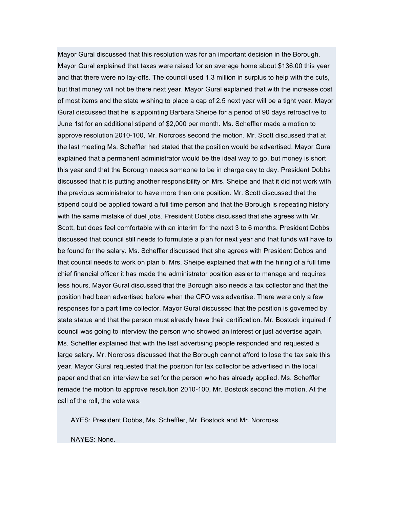Mayor Gural discussed that this resolution was for an important decision in the Borough. Mayor Gural explained that taxes were raised for an average home about \$136.00 this year and that there were no lay-offs. The council used 1.3 million in surplus to help with the cuts, but that money will not be there next year. Mayor Gural explained that with the increase cost of most items and the state wishing to place a cap of 2.5 next year will be a tight year. Mayor Gural discussed that he is appointing Barbara Sheipe for a period of 90 days retroactive to June 1st for an additional stipend of \$2,000 per month. Ms. Scheffler made a motion to approve resolution 2010-100, Mr. Norcross second the motion. Mr. Scott discussed that at the last meeting Ms. Scheffler had stated that the position would be advertised. Mayor Gural explained that a permanent administrator would be the ideal way to go, but money is short this year and that the Borough needs someone to be in charge day to day. President Dobbs discussed that it is putting another responsibility on Mrs. Sheipe and that it did not work with the previous administrator to have more than one position. Mr. Scott discussed that the stipend could be applied toward a full time person and that the Borough is repeating history with the same mistake of duel jobs. President Dobbs discussed that she agrees with Mr. Scott, but does feel comfortable with an interim for the next 3 to 6 months. President Dobbs discussed that council still needs to formulate a plan for next year and that funds will have to be found for the salary. Ms. Scheffler discussed that she agrees with President Dobbs and that council needs to work on plan b. Mrs. Sheipe explained that with the hiring of a full time chief financial officer it has made the administrator position easier to manage and requires less hours. Mayor Gural discussed that the Borough also needs a tax collector and that the position had been advertised before when the CFO was advertise. There were only a few responses for a part time collector. Mayor Gural discussed that the position is governed by state statue and that the person must already have their certification. Mr. Bostock inquired if council was going to interview the person who showed an interest or just advertise again. Ms. Scheffler explained that with the last advertising people responded and requested a large salary. Mr. Norcross discussed that the Borough cannot afford to lose the tax sale this year. Mayor Gural requested that the position for tax collector be advertised in the local paper and that an interview be set for the person who has already applied. Ms. Scheffler remade the motion to approve resolution 2010-100, Mr. Bostock second the motion. At the call of the roll, the vote was:

AYES: President Dobbs, Ms. Scheffler, Mr. Bostock and Mr. Norcross.

NAYES: None.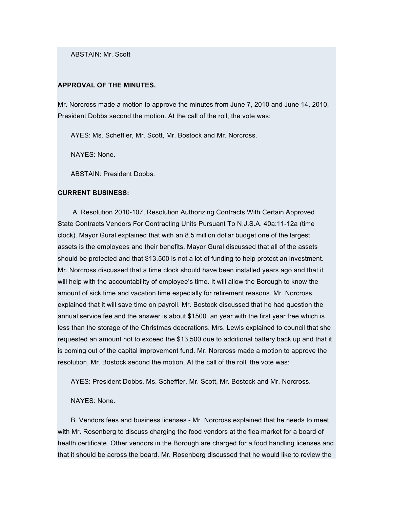ABSTAIN: Mr. Scott

## **APPROVAL OF THE MINUTES.**

Mr. Norcross made a motion to approve the minutes from June 7, 2010 and June 14, 2010, President Dobbs second the motion. At the call of the roll, the vote was:

AYES: Ms. Scheffler, Mr. Scott, Mr. Bostock and Mr. Norcross.

NAYES: None.

ABSTAIN: President Dobbs.

#### **CURRENT BUSINESS:**

A. Resolution 2010-107, Resolution Authorizing Contracts With Certain Approved State Contracts Vendors For Contracting Units Pursuant To N.J.S.A. 40a:11-12a (time clock). Mayor Gural explained that with an 8.5 million dollar budget one of the largest assets is the employees and their benefits. Mayor Gural discussed that all of the assets should be protected and that \$13,500 is not a lot of funding to help protect an investment. Mr. Norcross discussed that a time clock should have been installed years ago and that it will help with the accountability of employee's time. It will allow the Borough to know the amount of sick time and vacation time especially for retirement reasons. Mr. Norcross explained that it will save time on payroll. Mr. Bostock discussed that he had question the annual service fee and the answer is about \$1500. an year with the first year free which is less than the storage of the Christmas decorations. Mrs. Lewis explained to council that she requested an amount not to exceed the \$13,500 due to additional battery back up and that it is coming out of the capital improvement fund. Mr. Norcross made a motion to approve the resolution, Mr. Bostock second the motion. At the call of the roll, the vote was:

AYES: President Dobbs, Ms. Scheffler, Mr. Scott, Mr. Bostock and Mr. Norcross.

#### NAYES: None.

B. Vendors fees and business licenses.- Mr. Norcross explained that he needs to meet with Mr. Rosenberg to discuss charging the food vendors at the flea market for a board of health certificate. Other vendors in the Borough are charged for a food handling licenses and that it should be across the board. Mr. Rosenberg discussed that he would like to review the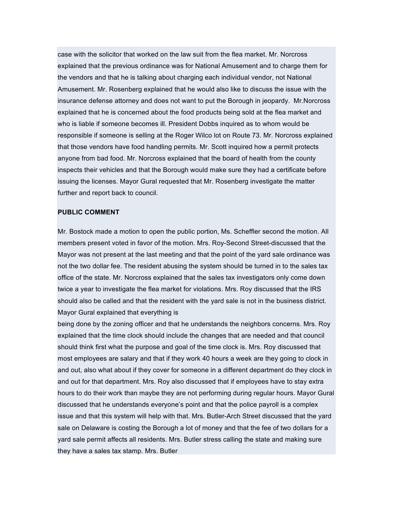case with the solicitor that worked on the law suit from the flea market. Mr. Norcross explained that the previous ordinance was for National Amusement and to charge them for the vendors and that he is talking about charging each individual vendor, not National Amusement. Mr. Rosenberg explained that he would also like to discuss the issue with the insurance defense attorney and does not want to put the Borough in jeopardy. Mr.Norcross explained that he is concerned about the food products being sold at the flea market and who is liable if someone becomes ill. President Dobbs inquired as to whom would be responsible if someone is selling at the Roger Wilco lot on Route 73. Mr. Norcross explained that those vendors have food handling permits. Mr. Scott inquired how a permit protects anyone from bad food. Mr. Norcross explained that the board of health from the county inspects their vehicles and that the Borough would make sure they had a certificate before issuing the licenses. Mayor Gural requested that Mr. Rosenberg investigate the matter further and report back to council.

# **PUBLIC COMMENT**

Mr. Bostock made a motion to open the public portion, Ms. Scheffler second the motion. All members present voted in favor of the motion. Mrs. Roy-Second Street-discussed that the Mayor was not present at the last meeting and that the point of the yard sale ordinance was not the two dollar fee. The resident abusing the system should be turned in to the sales tax office of the state. Mr. Norcross explained that the sales tax investigators only come down twice a year to investigate the flea market for violations. Mrs. Roy discussed that the IRS should also be called and that the resident with the yard sale is not in the business district. Mayor Gural explained that everything is

being done by the zoning officer and that he understands the neighbors concerns. Mrs. Roy explained that the time clock should include the changes that are needed and that council should think first what the purpose and goal of the time clock is. Mrs. Roy discussed that most employees are salary and that if they work 40 hours a week are they going to clock in and out, also what about if they cover for someone in a different department do they clock in and out for that department. Mrs. Roy also discussed that if employees have to stay extra hours to do their work than maybe they are not performing during regular hours. Mayor Gural discussed that he understands everyone's point and that the police payroll is a complex issue and that this system will help with that. Mrs. Butler-Arch Street discussed that the yard sale on Delaware is costing the Borough a lot of money and that the fee of two dollars for a yard sale permit affects all residents. Mrs. Butler stress calling the state and making sure they have a sales tax stamp. Mrs. Butler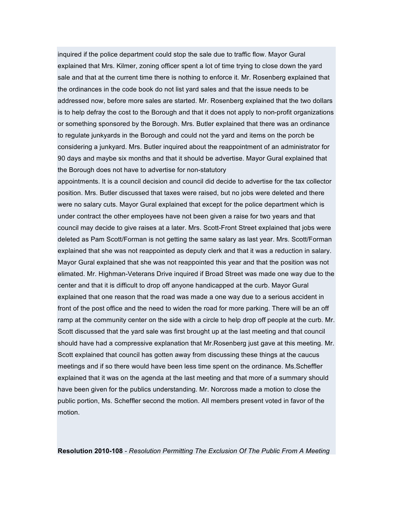inquired if the police department could stop the sale due to traffic flow. Mayor Gural explained that Mrs. Kilmer, zoning officer spent a lot of time trying to close down the yard sale and that at the current time there is nothing to enforce it. Mr. Rosenberg explained that the ordinances in the code book do not list yard sales and that the issue needs to be addressed now, before more sales are started. Mr. Rosenberg explained that the two dollars is to help defray the cost to the Borough and that it does not apply to non-profit organizations or something sponsored by the Borough. Mrs. Butler explained that there was an ordinance to regulate junkyards in the Borough and could not the yard and items on the porch be considering a junkyard. Mrs. Butler inquired about the reappointment of an administrator for 90 days and maybe six months and that it should be advertise. Mayor Gural explained that the Borough does not have to advertise for non-statutory

appointments. It is a council decision and council did decide to advertise for the tax collector position. Mrs. Butler discussed that taxes were raised, but no jobs were deleted and there were no salary cuts. Mayor Gural explained that except for the police department which is under contract the other employees have not been given a raise for two years and that council may decide to give raises at a later. Mrs. Scott-Front Street explained that jobs were deleted as Pam Scott/Forman is not getting the same salary as last year. Mrs. Scott/Forman explained that she was not reappointed as deputy clerk and that it was a reduction in salary. Mayor Gural explained that she was not reappointed this year and that the position was not elimated. Mr. Highman-Veterans Drive inquired if Broad Street was made one way due to the center and that it is difficult to drop off anyone handicapped at the curb. Mayor Gural explained that one reason that the road was made a one way due to a serious accident in front of the post office and the need to widen the road for more parking. There will be an off ramp at the community center on the side with a circle to help drop off people at the curb. Mr. Scott discussed that the yard sale was first brought up at the last meeting and that council should have had a compressive explanation that Mr.Rosenberg just gave at this meeting. Mr. Scott explained that council has gotten away from discussing these things at the caucus meetings and if so there would have been less time spent on the ordinance. Ms.Scheffler explained that it was on the agenda at the last meeting and that more of a summary should have been given for the publics understanding. Mr. Norcross made a motion to close the public portion, Ms. Scheffler second the motion. All members present voted in favor of the motion.

**Resolution 2010-108** - *Resolution Permitting The Exclusion Of The Public From A Meeting*